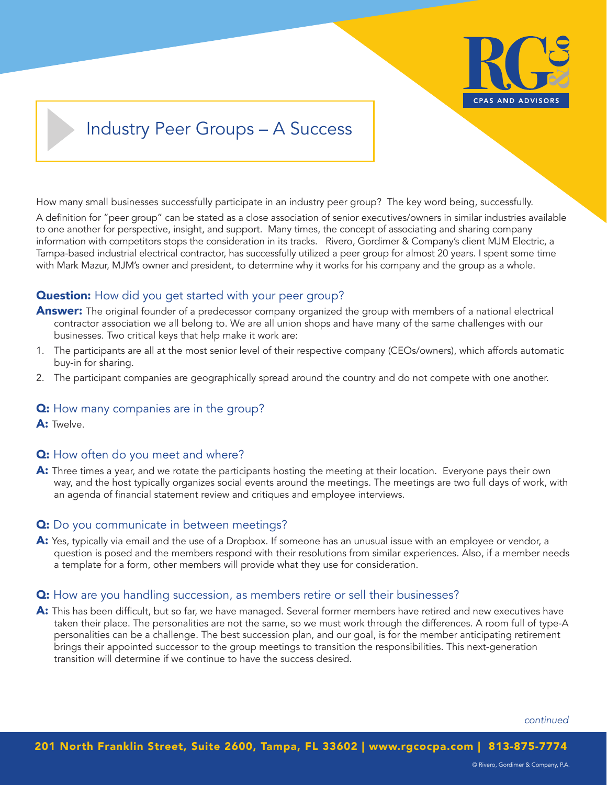

# Industry Peer Groups – A Success

How many small businesses successfully participate in an industry peer group? The key word being, successfully.

A definition for "peer group" can be stated as a close association of senior executives/owners in similar industries available to one another for perspective, insight, and support. Many times, the concept of associating and sharing company information with competitors stops the consideration in its tracks. Rivero, Gordimer & Company's client MJM Electric, a Tampa-based industrial electrical contractor, has successfully utilized a peer group for almost 20 years. I spent some time with Mark Mazur, MJM's owner and president, to determine why it works for his company and the group as a whole.

## **Question:** How did you get started with your peer group?

- **Answer:** The original founder of a predecessor company organized the group with members of a national electrical contractor association we all belong to. We are all union shops and have many of the same challenges with our businesses. Two critical keys that help make it work are:
- 1. The participants are all at the most senior level of their respective company (CEOs/owners), which affords automatic buy-in for sharing.
- 2. The participant companies are geographically spread around the country and do not compete with one another.

## **Q:** How many companies are in the group?

A: Twelve.

### **Q:** How often do you meet and where?

A: Three times a year, and we rotate the participants hosting the meeting at their location. Everyone pays their own way, and the host typically organizes social events around the meetings. The meetings are two full days of work, with an agenda of financial statement review and critiques and employee interviews.

### **Q:** Do you communicate in between meetings?

A: Yes, typically via email and the use of a Dropbox. If someone has an unusual issue with an employee or vendor, a question is posed and the members respond with their resolutions from similar experiences. Also, if a member needs a template for a form, other members will provide what they use for consideration.

### **Q:** How are you handling succession, as members retire or sell their businesses?

A: This has been difficult, but so far, we have managed. Several former members have retired and new executives have taken their place. The personalities are not the same, so we must work through the differences. A room full of type-A personalities can be a challenge. The best succession plan, and our goal, is for the member anticipating retirement brings their appointed successor to the group meetings to transition the responsibilities. This next-generation transition will determine if we continue to have the success desired.